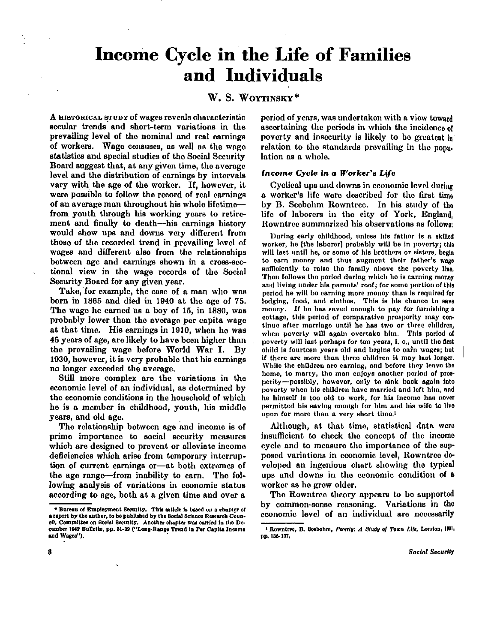# **Income Cycle in the Life of Families and Individuals**

## W. S. WOYTINSKY\*

A HISTORICAL STUDY of wages reveals characteristic secular trends and short-term variations in the prevailing level of the nominal and real earnings of workers. Wage censuses, as well as the wage statistics and special studies of the Social Security Board suggest that, at any given time, the average level and the distribution of earnings by intervals vary with the age of the worker. If, however, it were possible to follow the record of real earnings of an average man throughout his whole lifetime from youth through his working years to retirement and finally to death—his earnings history would show ups and downs very different from those of the recorded trend in prevailing level of wages and different also from the relationships between age and earnings shown in a cross-sectional view in the wage records of the Social Security Board for any given year.

Take, for example, the case of a man who was born in 1865 and died in 1940 at the age of 75. The wage he earned as a boy of 15, in 1880, was probably lower than the average per capita wage at that time. His earnings in 1910, when ho was 45 years of age, are likely to have been higher than the prevailing wage before World War I. By 1930, however, it is very probable that his earnings no longer exceeded the average.

Still more complex are the variations in the economic level of an individual, as determined by the economic conditions in the household of which he is a member in childhood, youth, his middle years, and old age.

The relationship between age and income is of prime importance to social security measures which are designed to prevent or alleviate income deficiencies which arise from temporary interruption of current earnings or—at both extremes of the age range—from inability to earn. The following analysis of variations in economic status according to age, both at a given time and over a

period of years, was undertaken with a view toward ascertaining the periods in which the incidence of poverty and insecurity is likely to be greatest in relation to the standards prevailing in the population as a whole.

## *Income Cycle in a Worker's Life*

Cyclical ups and downs in economic level during a worker's life were described for the first time by B. Seebohm Rowntree. In his study of the life of laborers in the city of York, England, Rowntree summarized his observations as follows:

During early childhood, unless his father is a skilled worker, he [the laborer] probably will be in poverty; this will last until he, or some of his brothers or sisters, begin to earn money and thus augment their father's wage sufficiently to raise the family above the poverty line. Then follows the period during which ho is earning money and living under his parents' roof; for some portion of this period he will be earning more money than is required for lodging, food, and clothes. This is his chance to save money. If he has saved enough to pay for furnishing a cottage, this period of comparative prosperity may continue after marriage until ho has two or three children, when poverty will again overtake him. This period of poverty will last perhaps for ten years, i. o., until the first child is fourteen years old and begins to earn wages; but if there are more than three children it may last longer. While the children are earning, and before they leave the homo, to marry, the man enjoys another period of prosperity—possibly, however, only to sink back again into poverty when his children have married and left him, and he himself is too old to work, for his income has never permitted his saving enough for him and his wife to live upon for more than a very short time.<sup>1</sup>

Although, at that time, statistical data were insufficient to check the concept of the income cycle and to measure the importance of the supposed variations in economic level, Rowntree developed an ingenious chart showing the typical ups and downs in the economic condition of a worker as ho grow older.

The Rowntree theory appears to be supported by common-sense reasoning. Variations in the economic level of an individual are necessarily

<sup>\*</sup> Bureau of Employment Security. This article is based on a chapter of a report by the author, to be published by the Social Science Research Council, Committee on Social Security. Another chapter was carried in the December 1942 Bulletin, pp. 31-39 ("Long-Range Trend in Per Capita Income and Wages").

<sup>1</sup>Rowntree, D. Seebohm, *Poverty: A Study of Town Life, L*ondon, 1901, pp. 136-137.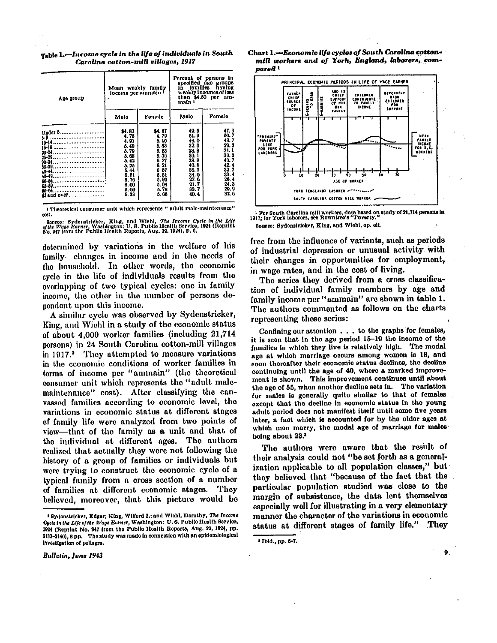Table 1.—*Income cycle in the life of individuals in South Carolina cotton-mill villages, 1917* 

| Age group                                                                        | Mean weekly family<br>loceme per ammein I                                                                     |                                                                                                                          | Percent of persons in<br>specified ago groups<br>families having<br>in I<br>wookly incomes of loss<br>than \$4.50 per am-<br>main I |                                                                                                                |  |  |
|----------------------------------------------------------------------------------|---------------------------------------------------------------------------------------------------------------|--------------------------------------------------------------------------------------------------------------------------|-------------------------------------------------------------------------------------------------------------------------------------|----------------------------------------------------------------------------------------------------------------|--|--|
|                                                                                  | Mulo                                                                                                          | Femalo                                                                                                                   | Malo                                                                                                                                | Fomalo                                                                                                         |  |  |
| Under 5<br>20-20<br>80-34<br>35-39<br>40-44<br>60-84<br><b>MM</b><br>as and over | 84.83<br>4.75<br>4.91<br>5.49<br>5.79<br>5.68<br>5.42<br>5.25<br>5.44<br>5.51<br>5.70<br>0.00<br>5.00<br>5.33 | <b>34.B7</b><br>4.79<br>Б. 10<br>5.63<br>5.53<br>5.30<br>5. 27<br>5.21<br>5.57<br>5. St<br>5.93<br>5. DI<br>5.78<br>5.06 | 49.5<br>51.9<br>46.0<br>32.0<br>28. 8<br>30. I<br>38.0<br>40.5<br>86. 2<br>34.0<br>27.0<br>21. 7<br>33. 7<br>40.4                   | 47.3<br>60. 7<br>43.7<br>29.2<br>34.1<br>39. 2<br>40.7<br>42.4<br>32.7<br>33.4<br>20.4<br>24.3<br>29.9<br>32.6 |  |  |

1 Theoretical consumer unit which represents "adul t male-maintenance" cost.

– Bonros: Sydenstricker, King, and Wiehl, *The Income Cycle in the Lije*<br>6*fthe Wage Earner*, Washington: U.S. Publio Henlth Servico, 1924 (Roprint<br>No. 947 from the Fublio Health Reports, Aug. 22, 1924), p. 6.

determined by variations in the welfare of his family—changes in income and in the needs of the household. In other words, the economic cycle in the life of individuals results from the overlapping of two typical cycles: one in family income, the other in the number of persons dependent upon this income.

A similar cycle was observed by Sydenstricker, King, and Wiehl in a study of the economic status of about 4,000 worker families (including 21,714 persons) in 24 South Carolina cotton-mill villages in 1917.<sup>2</sup> They attempted to measure variations in the economic conditions of worker families in terms of income per "ammain" (the theoretical consumer unit which represents the "adult malemaintenance" cost). After classifying the canvassed families according to economic level, the variations in economic status at different stages of family life were analyzed from two points of view—that of the family as a unit and that of the individual at different ages. The authors realized that actually they were not following the history of a group of families or individuals but were trying to construct the economic cycle of a typical family from a cross section of a number of families at different economic stages. They believed, moreover, that this picture would be

Bulletin, June 1943





<sup>1</sup> For South Carolina mill workers, data based on study of 21,714 persons in 1917; for York laborers, see Rowntree's "Poverty." Source: Sydenstricker, King, and Wiehl, op. clt.

free from the influence of variants, such as periods of industrial depression or unusual activity with their changes in opportunities for employment, in wage rates, and in the cost of living.

The series they derived from a cross classification of individual family members by age and family income per "ammain" are shown in table 1. The authors commented as follows on the charts representing these series:

Confining our attention .. . to the graphs for females, it is seen that in the age period  $15-19$  the income of the families in which they live is relatively high. The modal age at which marriage occurs among women is 18, and soon thereafter their economic status declines, the decline continuing until the age of 40, where a marked improvement is shown. This improvement continues until about the age of 55, when another decline sets in. The variation for males is generally quite similar to that of females except that the decline in economic status in the young adult period does not manifest itself until some five years later, a fact which is accounted for by the older ages at which men marry, the modal age of marriage for males being about 23.3

The authors were aware that the result of their analysis could not "be set forth as a generalization applicable to all population classes," but they believed that "because of the fact that the particular population studied was close to the margin of subsistence, the data lent themselves especially well for illustrating in a very elementary manner the character of the variations in economic status at different stages of family life." They

٥

<sup>2</sup> Sydenstricker, Edgar; King, Wilford I. ; and Wiehl, Dorothy, *The Income Cycle in the Life of the Wage Earner,* Washington: U . S. Public Health Service, 1924 (Reprint No. 947 from the Public Health Reports, Aug. 22, 1924, pp. 2133-2140), 8 pp. The study was made in connection with an epidemiological investigation of pellagra.

<sup>3</sup> Ibid., pp. 6-7.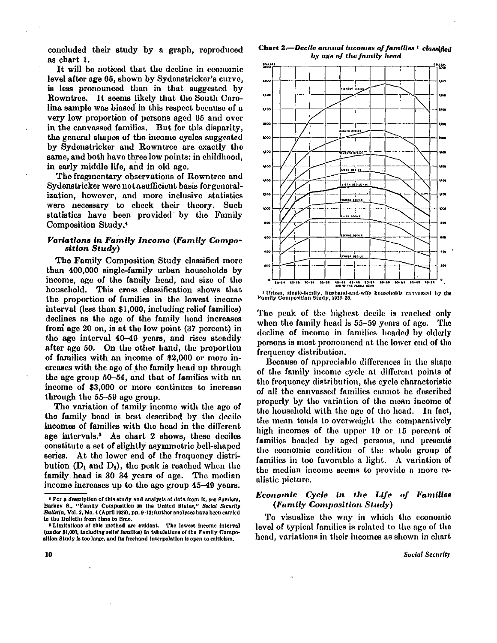concluded their study by a graph, reproduced as chart 1.

It will be noticed that the decline in economic level after age 65, shown by Sydenstricker's curve, is less pronounced than in that suggested by Rowntree. It seems likely that the South Carolina sample was biased in this respect because of a very low proportion of persons aged 65 and over in the canvassed families. But for this disparity, the general shapes of the income cycles suggested by Sydenstricker and Rowntree are exactly the same, and both have three low points: in childhood, in early middle life, and in old age.

The fragmentary observations of Rowntree and Sydenstricker were not a sufficient basis for generalization, however, and more inclusive statistics were necessary to check their theory. Such statistics have been provided by the Family Composition Study. <sup>4</sup>

#### *Variations in Family Income (Family Composition Study)*

The Family Composition Study classified more than 400,000 single-family urban households by income, age of the family head, and size of the household. This cross classification shows that the proportion of families in the lowest income interval (less than \$1,000, including relief families) declines as the age of the family head increases from age 20 on, is at the low point (37 percent) in the age interval 40-49 years, and rises steadily after age 50. On the other hand, the proportion of families with an income of \$2,000 or more in creases with the age of the family head up through the age group 50-54, and that of families with an income of \$3,000 or more continues to increase through the 55-59 age group.

The variation of family income with the age of the family head is best described by the decile incomes of families with the head in the different age intervals.<sup>5</sup> As chart 2 shows, these deciles constitute a set of slightly asymmetric bell-shaped series. At the lower end of the frequency distribution  $(D_1 \text{ and } D_2)$ , the peak is reached when the family head is 30-34 years of age. The median income increases up to the age group 45-49 years.

Char t 2.—*Decil e annual incomes of families <sup>1</sup> classified by age of the family head* 



*<sup>1</sup>* Urban, single-family, husband-and-wife households canvassed by the Family Composition Study, 1935-36.

The peak of the highest decile is reached only when the family head is 55-59 years of age. The decline of income in families headed by elderly persons is most pronounced at the lower end of the frequency distribution.

Because of appreciable differences in the shape of the family income cycle at different points of the frequency distribution, the cycle characteristic of all the canvassed families cannot be described properly by the variation of the mean income of the household with the age of the head. In fact, the mean tends to overweight the comparatively high incomes of the upper 10 or 15 percent of families headed by aged persons, and presents the economic condition of the whole group of families in too favorable a light. A variation of the median income seems to provide a more realistic picture.

### *Economic Cycle in the Life of Families (Family Composition Study)*

To visualize the way in which the economic level of typical families is related to the age of the head, variations in their incomes as shown in chart

<sup>4</sup> For a description of this study and analysis of data from it, see Sanders, Barkev S., "Family Composition in the United States," *Social Security Bulletin,* Vol. 2, No. 4 (April 1939), pp. 9-13; further analyses have been carried in the Bulletin from time to time.

<sup>5</sup> Limitations of this method are evident. The lowest income interval (under \$1,000, including relief families) in tabulations of the Family Composition Study is too large, and its freehand interpolation is open to criticism.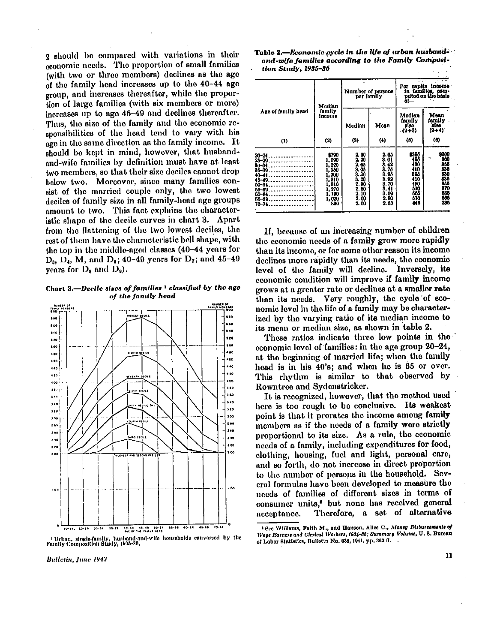2 should be compared with variations in their economic needs. The proportion of small families (with two or three members) declines as the age of the family head increases up to the 40-44 age group, and increases thereafter, while the proportion of large families (with six members or more) increases up to age 45-49 and declines thereafter. Thus, the size of the family and the economic responsibilities of the head tend to vary with his age in the same direction as the family income. It should be kept in mind, however, that husbandand-wife families by definition must have at least two members, so that their size deciles cannot drop below two. Moreover, since many families consist of the married couple only, the two lowest deciles of family size in all family-head age groups amount to two. This fact explains the characteristic shape of the decile curves in chart 3. Apart from the flattening of the two lowest deciles, the rest of them have the characteristic bell shape, with the top in the middle-aged classes (40-44 years for  $D_3$ ,  $D_4$ , M, and  $D_6$ ; 40-49 years for  $D_7$ ; and 45-49 years for  $D_8$  and  $D_9$ .

Chart 3.—Decile sizes of families <sup>1</sup> classified by the age *of the family head* 



1 Urban, single-family, husband-and-wife households canvessed by the Family Composition Study, 1935-36.

| Table 2.—Economic cycle in the life of urban husband- |  |
|-------------------------------------------------------|--|
| and-wife families according to the Family Composi-    |  |
| tion Study, 1935–36                                   |  |

|                                                                                                                                                                                                                                               | Median                                                                                        | Number of persons<br>per famliy                                                                            |                                                                                                   | ol—                                  | Per capita income in families, com-<br>puted on the basis                       |
|-----------------------------------------------------------------------------------------------------------------------------------------------------------------------------------------------------------------------------------------------|-----------------------------------------------------------------------------------------------|------------------------------------------------------------------------------------------------------------|---------------------------------------------------------------------------------------------------|--------------------------------------|---------------------------------------------------------------------------------|
| Ago of family head                                                                                                                                                                                                                            | tamily<br><b>Income</b>                                                                       | Median                                                                                                     | Moan                                                                                              | Modian<br>family<br>al 10<br>$(2+3)$ | Mean<br>family<br>size<br>$(2+4)$                                               |
| (1)                                                                                                                                                                                                                                           | $^{(2)}$                                                                                      | (3)                                                                                                        | (4)                                                                                               | $\omega$                             | (0)                                                                             |
| 20-24.<br>25-29.<br>.<br>$80 - 34$<br><u>.</u><br>$35 - 39$<br>.<br>$40 - 11$<br>. <b>.</b><br>$15 - 10$<br>in the contract of the contract of<br>$50 - 34$<br><u>.</u><br>$00 - 09$<br>.<br><u>------------</u> -<br>$65 - 69$<br>70-74<br>. | \$700<br>1,000<br>220<br>I, 260<br>1,300<br>1,310<br>1,310<br>1,270<br>1, 190<br>1.020<br>800 | $\frac{2.00}{2.20}$<br>2.65<br>3.05<br>$\frac{3}{3}.\frac{30}{20}$<br>2.00<br>2.60<br>2.10<br>2.00<br>2.00 | 2.65<br>3.01<br>$\frac{3.42}{3.76}$<br>3.05<br>$\frac{3.92}{3.70}$<br>$\frac{3.41}{3.09}$<br>2 63 | \$305                                | 8300<br>380385<br>38335<br>3835<br>385<br>370<br>$\ddot{}$<br>885<br>805<br>838 |

If, because of an increasing number of children the economic needs of a family grow more rapidly than its income, or for some other reason its income declines more rapidly than its needs, the economic level of the family will decline. Inversely, its economic condition will improve if family income grows at a greater rate or declines at a smaller rate than its needs. Very roughly, the cycle of economic level in the life of a family may be characterized by the varying ratio of its median income to its mean or median size, as shown in table 2.

These ratios indicate three low points in the economic level of families: in the age group 20-24, at the beginning of married life; when the family head is in his 40's; and when he is 65 or over. This rhythm is similar to that observed by Rowntree and Sydenstricker.

It is recognized, however, that the method used here is too rough to be conclusive. Its weakest point is that it prorates the income among family members as if the needs of a family were strictly proportional to its size. As a rule, the economic needs of a family, including expenditures for food, clothing, housing, fuel and light, personal care, and so forth, do not increase in direct proportion to the number of persons in the household. Several formulas have been developed to measure the needs of families of different sizes in terms of consumer units,<sup>6</sup> but none has received general acceptance. Therefore, a set of alternative

<sup>6</sup> See Williams, Faith M., and Hanson, Alice C., *Money Disbursements of Wage Earners and Clerical Workers, I934-36; Summary Volume,* U.S . Bureau of Labor Statistics, Bulletin No. 638, 1941, pp. 362 Ft.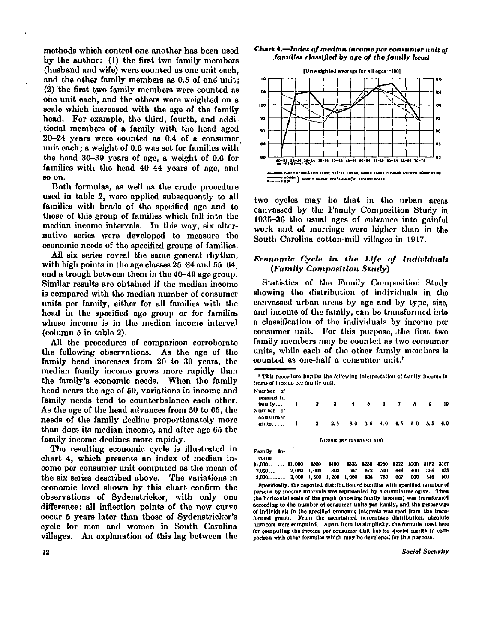methods which control one another has been used by the author: (1) the first two family members (husband and wife) were counted as one unit each, and the other family members as 0.5 of one unit; (2) the first two family members were counted as one unit each, and the others were weighted on a scale which increased with the age of the family head. For example, the third, fourth, and additional members of a family with the head aged 20-24 years were counted as 0.4 of a consumer unit each; a weight of 0.5 was sot for families with the head 30-39 years of age, a weight of 0.6 for families with the head 40-44 years of age, and so on.

Both formulas, as well as the crude procedure used in table 2, were applied subsequently to all families with heads of the specified age and to those of this group of families which fall into the median income intervals. In this way, six alternative series were developed to measure the economic needs of the specified groups of families.

All six series reveal the same general rhythm, with high points in the age classes 25-34 and 55-64, and a trough between them in the 40-49 age group. Similar results are obtained if the median income is compared with the median number of consumer units per family, either for all families with the head in the specified age group or for families whose income is in the median income interval (column 5 in table 2).

All the procedures of comparison corroborate the following observations. As the age of the family head increases from 20 to. 30 years, the median family income grows more rapidly than the family's economic needs. When the family head nears the age of 50, variations in income and family needs tend to counterbalance each other. As the age of the head advances from 50 to 65, the needs of the family decline proportionately more than does its median income, and after age 65 the family income declines more rapidly.

The resulting economic cycle is illustrated in chart 4, which presents an index of median income per consumer unit computed as the mean of the six series described above. The variations in economic level shown by this chart confirm the observations of Sydenstricker, with only one difference: all inflection points of the new curve occur 5 years later than those of Sydenstrickor's cycle for men and women in South Carolina villages. An explanation of this lag between the

#### Chart 4.—Index of median income per consumer unit of *families classified by age of the family head*



two cycles may be that in the urban areas canvassed by the Family Composition Study in 1935-36 the usual ages of entrance into gainful work and of marriage were higher than in the South Carolina cotton-mill villages in 1917.

## *Economic Cycle in the Life of Individuals (Family Composition Study)*

Statistics of the Family Composition Study showing the distribution of individuals in the canvassed urban areas by age and by typo, size, and income of the family, can be transformed into a classification of the individuals by income per consumer unit. For this purpose, the first two family members may be counted as two consumer units, while each of the other family members is counted as one-half a consumer unit. <sup>7</sup>

This procedure implies the following interpretation of family income in terms of income per family unit:

| Number of<br>persons in |  |                                   |  |  |  |    |
|-------------------------|--|-----------------------------------|--|--|--|----|
| family 1                |  | 2 3 4 5 6 7 8                     |  |  |  | 10 |
| Number of<br>consumer   |  |                                   |  |  |  |    |
| units 1                 |  | 2 2.5 3.0 3.5 4.0 4.5 5.0 5.5 6.0 |  |  |  |    |
|                         |  | Income per consumer unit          |  |  |  |    |

Family in-

come<br>\$1,000....... \$1,000 \$500 \$400 \$333 \$286 \$250 \$222 \$200 \$182 \$167<br>1,000 800 607 572 500 444 400 364 333 2,000 2,000 1,000 800 667 572 500 444 400 364 333  $3,000$ ......  $3,000$  1,500 1,200 1,000

Specifically, the reported distribution of families with specified number of persons by income Intervals was represented by a cumulative oglvo. Then the horizontal scale of the graph (showing family incomes) was transformed according to the number of consumer units per family, and the percentage of Individuals In the specified economic intervals was read from the transformed graph. From the ascertained percentage distribution, absolute numbers were computed. Apart from its simplicity, the formula used here for computing the income per consumer unit has no special merits in comparison with other formulas which may be developed for this purpose.

**Social Security**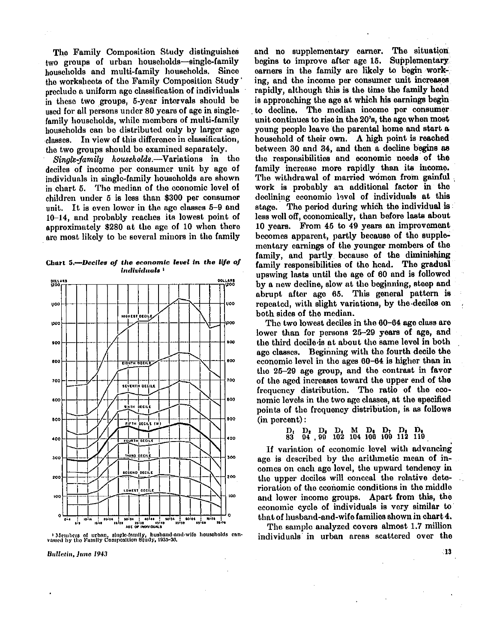The Family Composition Study distinguishes two groups of urban households—single-family households and multi-family households. Since the worksheets of the Family Composition Study preclude a uniform age classification of individuals in these two groups, 6-year intervals should be used for all persons under 80 years of age in singlefamily households, while members of multi-family households can be distributed only by larger age classes. In view of this difference in classification, the two groups should be examined separately.

*Single-family households.*—Variations in the deciles of income per consumer unit by age of individuals in single-family households are shown in chart 6. The median of the economic level of children under 5 is less than \$300 per consumer unit. It is even lower in the age classes  $5-9$  and 10-14, and probably reaches its lowest point of approximately \$280 at the age of 10 when there are most likely to be several minors in the family

Chart 5.<sup>---</sup>Deciles of the economic level in the life of *individuals <sup>1</sup>*



1 Members of urban, single-family, husband-and-wife households can-vassed by the Family Composition Study, 1935-36.

Bulletin, June 1943

and no supplementary earner. The situation begins to improve after age 15. Supplementary earners in the family are likely to begin working, and the income per consumer unit increases rapidly, although this is the time the family head is approaching the age at which his earnings begin to decline. The median income per consumer unit continues to rise in the 20's, the age when most young people leave the parental home and start a household of their own. A high point is reached between 30 and 34, and then a decline begins as the responsibilities and economic needs of the family increase more rapidly than its income. The withdrawal of married women from gainful work is probably an additional factor in the declining economic level of individuals at this stage. The period during which the individual is less well off, economically, than before lasts about 10 years. From 45 to 49 years an improvement becomes apparent, partly because of the supplementary earnings of the younger members of the family, and partly because of the diminishing family responsibilities of the head. The gradual upswing lasts until the age of 60 and is followed by a new decline, slow at the beginning, steep and abrupt after age 65. This general pattern is repeated, with slight variations, by the deciles on both sides of the median.

The two lowest deciles in the 60-64 age class are lower than for persons 25-29 years of age, and the third decile is at about the same level in both age classes. Beginning with the fourth decile the economic level in the ages 60-64 is higher than in the 25-29 age group, and the contrast in favor of the aged increases toward the upper end of the frequency distribution. The ratio of the economic levels in the two age classes, at the specified points of the frequency distribution, is as follows (in percent):

D<sub>1</sub> D<sub>2</sub> D<sub>3</sub> D<sub>4</sub> M D<sub>6</sub> D<sub>7</sub> D<sub>9</sub> D<sub>9</sub><br>83 04 99 102 104 106 109 112 119

If variation of economic level with advancing age is described by the arithmetic mean of incomes on each age level, the upward tendency in the upper deciles will conceal the relative deterioration of the economic conditions in the middle and lower income groups. Apart from this, the economic cycle of individuals is very similar to that of husband-and-wife families shown in chart 4.

The sample analyzed covers almost 1.7 million individuals in urban areas scattered over the

 $\blacksquare$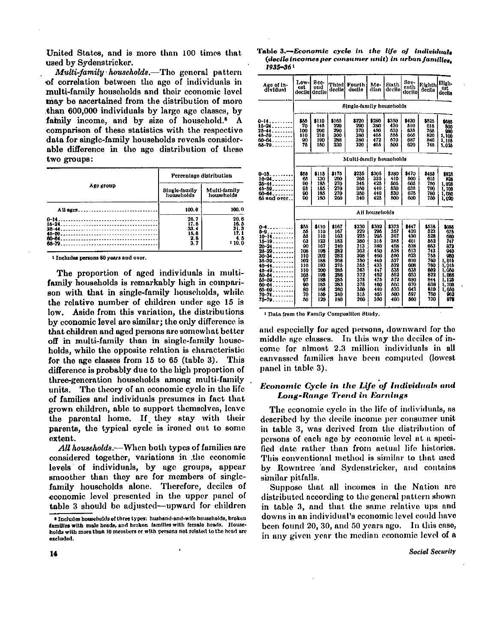United States, and is more than 100 times that used by Sydenstricker.

*Multi-family households.*—The general pattern of correlation between the age of individuals in multi-family households and their economic level may be ascertained from the distribution of more than 600,000 individuals by largo age classes, by family income, and by size of household.<sup>8</sup> A comparison of these statistics with the respective data for single-family households reveals considerable difference in the age distribution of these two groups:

|                                                                                         |                                            | Percentage distribution                           |
|-----------------------------------------------------------------------------------------|--------------------------------------------|---------------------------------------------------|
| Ago group                                                                               | Single-family<br>households                | Multi-family<br>households                        |
| All ages                                                                                | 100.0                                      | 100.0                                             |
| $15 - 24$<br>$25 - 44$<br>--------------------------------------<br>60-64<br>$65 - 79.$ | 26.7<br>17.6<br>33.4<br>15.8<br>2.8<br>3.7 | 20.6<br>16.5<br>31. 3<br>17. 1<br>4. 5<br>1 10. O |

1 Includes persons 80 years and over.

The proportion of aged individuals in multifamily households is remarkably high in comparison with that in single-family households, while the relative number of children under age 15 is low. Aside from this variation, the distributions by economic level are similar; the only difference is that children and aged persons are somewhat better off in multi-family than in single-family households, while the opposite relation is characteristic for the age classes from 15 to 65 (table 3). This difference is probably due to the high proportion of three-generation households among multi-family units. The theory of an economic cycle in the life of families and individuals presumes in fact that grown children, able to support themselves, leave the parental home. If they stay with their parents, the typical cycle is ironed out to some extent.

*All households.*—When both types of families are considered together, variations in the economic levels of individuals, by age groups, appear smoother than they are for members of singlefamily households alone. Therefore, deciles of economic level presented in the upper panel of table 3 should be adjusted—upward for children

Table 3.—*Economic cycle in the life of individuals (decile incomes per consumer unit) in urban families, 1935-36 <sup>1</sup>*

| Ago of In-<br>dividual                                                                                                                                                                                                                                                             | Low-<br>cst<br>decilel                                                                               | Bec-<br>ond<br>decile                                                                                          | <b>Third</b><br>decile                                                                                         | Fourth<br>doclie                                                                                               | Me-<br>dian                                                                                                   | Sixth<br>decilo                                                                                                | Sov-<br>enth<br>decito                                                                                         | Eighth<br>declie                                                                                               | High-<br>0st<br>decile                                                                                                      |
|------------------------------------------------------------------------------------------------------------------------------------------------------------------------------------------------------------------------------------------------------------------------------------|------------------------------------------------------------------------------------------------------|----------------------------------------------------------------------------------------------------------------|----------------------------------------------------------------------------------------------------------------|----------------------------------------------------------------------------------------------------------------|---------------------------------------------------------------------------------------------------------------|----------------------------------------------------------------------------------------------------------------|----------------------------------------------------------------------------------------------------------------|----------------------------------------------------------------------------------------------------------------|-----------------------------------------------------------------------------------------------------------------------------|
|                                                                                                                                                                                                                                                                                    |                                                                                                      |                                                                                                                |                                                                                                                | Single-family households                                                                                       |                                                                                                               |                                                                                                                |                                                                                                                |                                                                                                                |                                                                                                                             |
| 0-14.<br>15-24.<br>25–44.                                                                                                                                                                                                                                                          | 865<br>70<br>100                                                                                     | \$110<br>145<br>200                                                                                            | \$165<br>220<br>200                                                                                            | \$220<br>200<br>370                                                                                            | \$280<br>380<br>450                                                                                           | 3350<br>430<br>670                                                                                             | \$430<br>610<br>635                                                                                            | \$525<br>615<br>766                                                                                            | \$685<br>800<br>980                                                                                                         |
| 48-59.<br>00 <del>-</del> 64.<br>66-70.                                                                                                                                                                                                                                            | 110<br>90<br>76                                                                                      | 210<br>100<br>150                                                                                              | 300<br>288<br>230                                                                                              | 380<br>380<br>320                                                                                              | 465<br>472<br>405                                                                                             | 555<br>670<br>500                                                                                              | 005<br>697<br>620                                                                                              | 820<br>840<br>745                                                                                              | 1,100<br>1, 115<br>1,025                                                                                                    |
|                                                                                                                                                                                                                                                                                    |                                                                                                      |                                                                                                                |                                                                                                                | Multi-family households                                                                                        |                                                                                                               |                                                                                                                |                                                                                                                |                                                                                                                |                                                                                                                             |
| $0 - 15$<br>$16 - 24 - \ldots$<br>$26 - 44 - \ldots$<br>$45 - 59 - 100 - 100$<br>60-64<br>65 виd отсг                                                                                                                                                                              | \$55<br>65<br>90<br>0.<br>90<br>90                                                                   | \$118<br>130<br>185<br>165<br>185<br>180                                                                       | \$175<br>200<br>270<br>270<br>270<br>260                                                                       | \$235<br>265<br>345<br>350<br>350<br>340                                                                       | \$305<br>336<br>425<br>440<br>440<br>425                                                                      | \$380<br>410<br>505<br>620<br>530<br>500                                                                       | \$470<br>500<br>005<br>636<br>628<br>000                                                                       | \$485<br>615<br>750<br>700<br>780<br>750                                                                       | \$825<br>825<br>1,026<br>1,100<br>1,080<br>1,020                                                                            |
|                                                                                                                                                                                                                                                                                    |                                                                                                      |                                                                                                                |                                                                                                                |                                                                                                                | All households                                                                                                |                                                                                                                |                                                                                                                |                                                                                                                |                                                                                                                             |
| 0-1.<br>---------<br>$5 - 9 - \ldots$<br>$10 - 14 - \ldots$<br>$15 - 19 - 19 - 19$<br>20-24<br>.<br>$25 - 29$<br>$30 - 34$<br>$35 - 39 - \cdots$<br>$10 - 11$<br><u>.</u><br>$48 - 49$<br>$80 - 64$<br>--------<br>55-59<br>60-04<br><u>.</u><br>66-69<br>$70 - 74 - 76$<br>75-79. | \$55<br>56<br>85<br>63<br>90<br>108<br>110<br>102<br>110<br>110<br>105<br>97<br>90<br>80<br>70<br>80 | \$110<br>110<br>110<br>123<br>167<br>198<br>202<br>188<br>193<br>200<br>199<br>188<br>185<br>168<br>150<br>120 | \$167<br>167<br>103<br>183<br>240<br>282<br>282<br>208<br>275<br>285<br>286<br>285<br>283<br>260<br>240<br>180 | \$230<br>229<br>225<br>200<br>313<br>303<br>300<br>350<br>365<br>363<br>372<br>376<br>375<br>350<br>315<br>260 | 1302<br>205<br>295<br>315<br>380<br>450<br>460<br>440<br>433<br>447<br>462<br>475<br>160<br>440<br>405<br>350 | \$373<br>357<br>367<br>385<br>458<br>538<br>550<br>527<br>522<br>535<br>552<br>572<br>600<br>630<br>500<br>400 | \$147<br>420<br>430<br>401<br>538<br>613<br>623<br>610<br>008<br>636<br>053<br>680<br>070<br>043<br>597<br>560 | \$538<br>523<br>528<br>562<br>043<br>743<br>755<br>760<br>700<br>802<br>822<br>844<br>830<br>810<br>700<br>730 | 1686<br>676<br>680<br>747<br>872<br>940<br>980<br>1,015<br>1.015<br>1,050<br>1.088<br>1.125<br>1,100<br>1,050<br>962<br>978 |

1 Data from the Family Composition Study.

and especially for aged persons, downward for the middle age classes. In this way the deciles of income for almost 2.3 million individuals in all canvassed families have been computed (lowest panel in table 3).

## *Economic Cycle in the Life of Individuals and Long-Range Trend in Earnings*

The economic cycle in the life of individuals, as described by the decile income per consumer unit in table 3, was derived from the distribution of persons of each age by economic level at a specified date rather than from actual life histories. This conventional method is similar to that used by Rowntree and Sydenstricker, and contains similar pitfalls.

Suppose that all incomes in the Nation are distributed according to the general pattern shown in table 3, and that the some relative ups and downs in an individual's economic level could have been found 20, 30, and 50 years ago. In this case, in any given year the median economic level of a

<sup>8</sup> Includes households of three types: husband-and-wife households, broken families with male heads, and broken families with female heads. Households with more than 10 members or with persons not related to the head are excluded.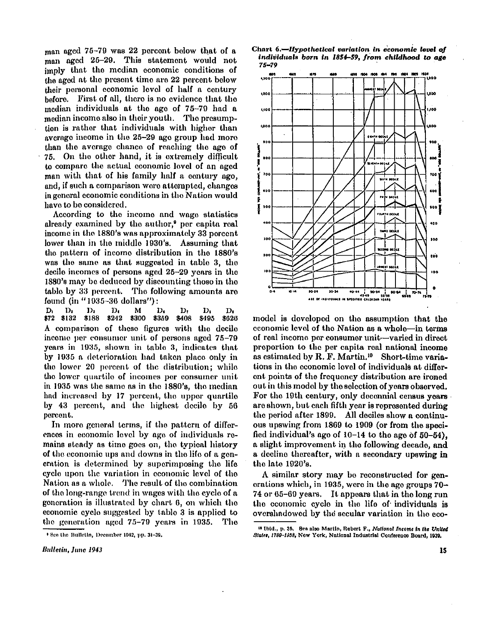man aged 75-79 was 22 percent below that of a man aged 25-29. This statement would not imply that the median economic conditions of the aged at the present time are 22 percent below their personal economic level of half a century before. First of all, there is no evidence that the median individuals at the age of 75-79 had a median income also in their youth. The presumption is rather that individuals with higher than average income in the 25-29 age group had more than the average chance of reaching the age of 75. On the other hand, it is extremely difficult to compare the actual economic level of an aged man with that of his family half a century age, and, if such a comparison were attempted, changes in general economic conditions in the Nation would have to be considered.

According to the income and wage statistics already examined by the author,<sup>9</sup> per capita real income in the 1880's was approximately 33 percent lower than in the middle 1930's. Assuming that the pattern of income distribution in the 1880's was the same as that suggested in table 3, the decile incomes of persons aged 25-29 years in the 1880's may be deduced by discounting those in the table by 33 percent. The following amounts are found (in " 1935-36 dollars"):

**D1 D2 D3 D4 M D6 D<sup>7</sup> D8 D<sup>9</sup> \$72 \$132 \$188 \$242 \$300 \$359 \$408 \$495 \$626**  A comparison of these figures with the decile income per consumer unit of persons aged 75-79 years in 1935, shown in table 3, indicates that by 1935 a deterioration had taken place only in the lower 20 percent of the distribution; whilo the lower quartile of incomes per consumer unit in 1935 was the same as in the 1880's, the median had increased by 17 percent, the upper quartile by 43 percent, and the highest decile by 56 percent.

In more general terms, if the pattern of differences in economic level by age of individuals remains steady as time goes on, the typical history of the economic ups and downs in the life of a generation is determined by superimposing the life cycle upon the variation in economic level of the Nation as a whole. The result of the combination of the long-range trend in wages with the cycle of a generation is illustrated by chart 6, on which the economic cycle suggested by table 3 is applied to the generation aged 75-79 years in 1935. The





model is developed on the assumption that the economic level of the Nation as a whole—in terms of real income per consumer unit—varied in direct proportion to the per capita real national income as estimated by R. F. Martin.<sup>10</sup> Short-time variations in the economic level of individuals at different points of the frequency distribution are ironed out in this model by the selection of years observed. For the 19th century, only decennial census years are shown, but each fifth year is represented during the period after 1899. All deciles show a continuous upswing from 1869 to 1909 (or from the specified individual's ago of  $10-14$  to the age of  $50-54$ ). a slight improvement in the following decade, and a decline thereafter, with a secondary upswing in the late 1920's.

A similar story may be reconstructed for generations which, in 1935, were in the age groups  $70-$ 74 or 65-69 years. It appears that in the long run the economic cycle in the life of individuals is overshadowed by the secular variation in the eco-

<sup>9</sup> See the Bulletin, December 1942, pp. 31-39.

<sup>10</sup> Ibid., p. 35. See also Martin, Robert F., *National Income in the United States, 1799-1938,* New York, National Industrial Conference Board, 1939.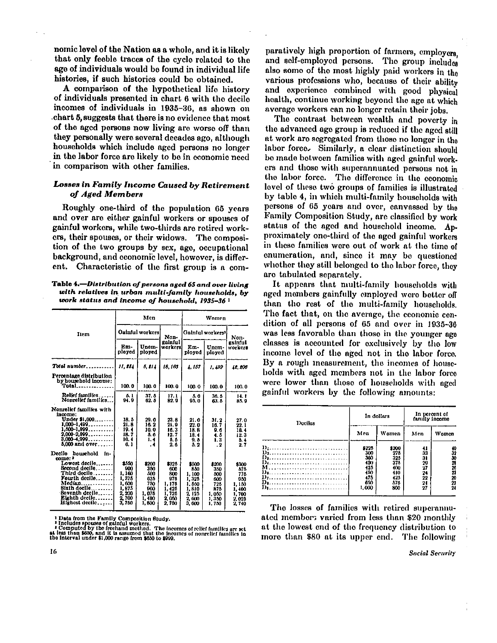nomic level of the Nation as a whole, and it is likely that only feeble traces of the cycle related to the age of individuals would be found in individual life histories, if such histories could be obtained.

A comparison of the hypothetical life history of individuals presented in chart 6 with the decile incomes of individuals in 1935-36, as shown on chart 5, suggests that there is no evidence that most of the aged persons now living are worse off than they personally were several decades ago, although households which include aged persons no longer in the labor force are likely to be in economic need in comparison with other families.

## *Losses in Family Income Caused by Retirement of Aged Member s*

Roughly one-third of the population 65 years and over are either gainful workers or spouses of gainful workers, while two-thirds are retired workers, their spouses, or their widows. The composition of the two groups by sex, age, occupational background, and economic level, however, is different. Characteristic of the first group is a com-

Table 4.—Distribution of persons aged 65 and over livin**g** *with relatives in urban multi-family households, by work status and income of household, 1935-36 <sup>1</sup>*

|                                                                                                                                                                                                             |                                                                             | Men                                                               |                                                                           | Women                                                                       |                                                                     |                                                                         |  |
|-------------------------------------------------------------------------------------------------------------------------------------------------------------------------------------------------------------|-----------------------------------------------------------------------------|-------------------------------------------------------------------|---------------------------------------------------------------------------|-----------------------------------------------------------------------------|---------------------------------------------------------------------|-------------------------------------------------------------------------|--|
| Item                                                                                                                                                                                                        |                                                                             | Oainful workers                                                   | Non-                                                                      | Gainful workers <sup>1</sup>                                                | Non-                                                                |                                                                         |  |
|                                                                                                                                                                                                             | Em-<br>ployed                                                               | Unem-<br>ployed                                                   | galnful<br>workers!                                                       | Em-<br>ployed                                                               | Unem-<br>ployed                                                     | gainful<br>workers                                                      |  |
| Total number                                                                                                                                                                                                | 11. <b>1</b> 84                                                             | 5. EL 1                                                           | 18, 163                                                                   | 4.167                                                                       | 1.499                                                               | 12.208                                                                  |  |
| Percentage distribution<br>by household income:<br>Total .                                                                                                                                                  | 100.0                                                                       | 100.0                                                             | 100.0                                                                     | 100.0                                                                       | 100.0                                                               | 100.0                                                                   |  |
| Relief families<br>Nonrelief families                                                                                                                                                                       | 5. L<br>94.9                                                                | 37.5<br>62.5                                                      | 17.1<br>82.9                                                              | 5.0<br>95.0                                                                 | 36.5<br>63. 5                                                       | 14.1<br>85.9                                                            |  |
| Nonrelief families with<br>income:<br>Under \$1,000<br>$1,000-1,499$<br>$1.600 - 1.999$<br>$2,000-2,999$<br>$3.000 - 4.999$<br><b>5,000 and over</b>                                                        | 18.5<br>21.8<br>19.4<br>18. 7<br>10.4<br>6.1                                | 29.0<br>18. 2<br>10.0<br>5.6<br>1.4<br>- 4                        | 23. 8<br>21.9<br>16.3<br>12.7<br>5.5<br>2.6                               | 21.0<br>22.0<br>18. B<br>18.4<br>9.5<br>5.2                                 | 31.2<br>16.7<br>9. G<br>4. 6<br>1.3<br>$\cdot$ 2                    | 27.0<br>22. 1<br>10.4<br>12.3<br>5.4<br>27                              |  |
| Decilo<br>household<br>fn-<br>come: 3<br>Lowest decile<br>Scoond decile<br>Third decile<br>Fourth declie<br>Median<br>$\overline{a}$ ,<br>Bixth decile<br>Beventh decile<br>Eighth decile<br>Highest decile | \$550<br>900<br>1.160<br>1,375<br>1,600<br>1 875<br>2 200<br>2,700<br>3,760 | \$200<br>350<br>700<br>025<br>750<br>m<br>1,075<br>1,400<br>1,800 | \$325<br>600<br>800<br>975<br>1, 175<br>1, 126<br>1,725<br>2,050<br>2.750 | \$500<br>850<br>1.100<br>1,325<br>1.550<br>1,810<br>2.125<br>2.000<br>3,000 | \$200<br>350<br>500<br>600<br>725<br>875<br>1,050<br>1,350<br>1,750 | \$300<br>875<br>775<br>950<br>1,150<br>1,400<br>1,700<br>2.025<br>2.740 |  |

<sup>1</sup> Data from the Family Composition Study.<br>
<sup>2</sup> Includes spouses of gainful workers.<br>
<sup>2</sup> Includes the freehand method. The incomes of relief families are set<br>
at less than \$450, and it is assumed that the incomes of nonr

paratively high proportion of farmers, employers, and self-employed persons. The group includes also some of the most highly paid workers in the various professions who, because of their ability and experience combined with good physical health, continue working beyond the age at which average workers can no longer retain their jobs.

The contrast between wealth and poverty in the advanced age group is reduced if the aged still at work are segregated from those no longer in the labor force. Similarly, a clear distinction should be made between families with aged gainful workers and those with superannuated persons not in the labor force. The difference in the economic level of these two groups of families is illustrated by table 4, in which multi-family households with persons of 65 years and over, canvassed by the Family Composition Study, arc classified by work status of the aged and household income. Approximately one-third of the aged gainful workers in these families were out of work at the time of enumeration, and, since it may be questioned whether they still belonged to the labor force, they are tabulated separately.

It appears that multi-family households with aged members gainfully employed were better off than the rest of the multi-family households. The fact that, on the average, the economic condition of all persons of 65 and over in 1935-36 was less favorable than those in the younger age classes is accounted for exclusively by the low income level of the aged not in the labor force. By a rough measurement, the incomes of households with aged members not in the labor force were lower than those of households with aged gainful workers by the following amounts:

| Decilos                                                                         |                                                                 | In dollars                                                     | In percent of<br>family income                     |                                           |  |
|---------------------------------------------------------------------------------|-----------------------------------------------------------------|----------------------------------------------------------------|----------------------------------------------------|-------------------------------------------|--|
|                                                                                 | Men                                                             | Women                                                          | Men                                                | Women                                     |  |
| $D_1, \ldots, \ldots, \ldots, \ldots, \ldots, \ldots, \ldots,$<br>Di<br>Di<br>D | \$225<br>300<br>300<br>400<br>425<br>450<br>475<br>650<br>1.000 | \$200<br>275<br>325<br>37.5<br>400<br>410<br>425<br>575<br>800 | 41<br>33<br>31<br>20<br>27<br>24<br>22<br>24<br>27 | 40<br>32<br>30<br>23.75<br>20<br>22<br>24 |  |

The losses of families with retired superannuated members varied from less than \$20 monthly at the lowest end of the frequency distribution to more than \$80 at its upper end. The following

**Social Security**